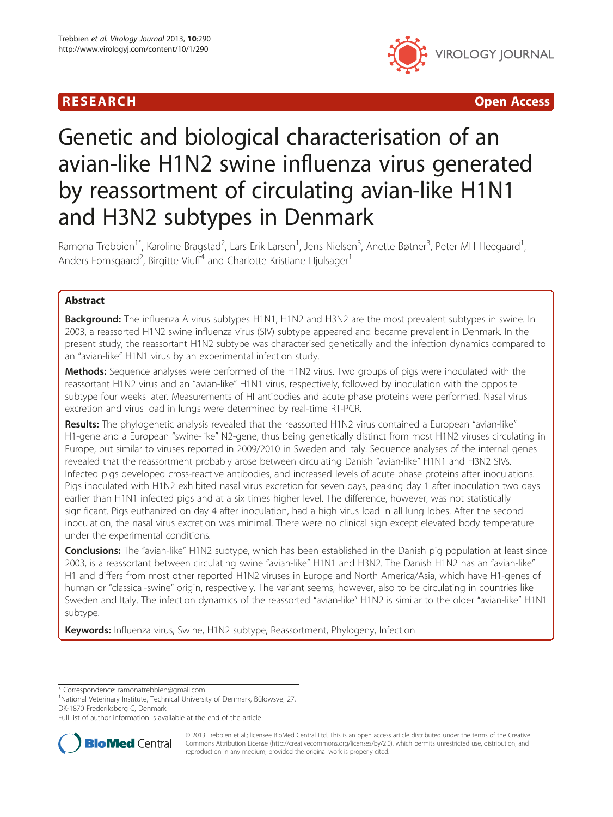## **RESEARCH CHINESE ARCH CHINESE ARCHITECT AND ACCESS**



# Genetic and biological characterisation of an avian-like H1N2 swine influenza virus generated by reassortment of circulating avian-like H1N1 and H3N2 subtypes in Denmark

Ramona Trebbien<sup>1\*</sup>, Karoline Bragstad<sup>2</sup>, Lars Erik Larsen<sup>1</sup>, Jens Nielsen<sup>3</sup>, Anette Bøtner<sup>3</sup>, Peter MH Heegaard<sup>1</sup> , Anders Fomsgaard<sup>2</sup>, Birgitte Viuff<sup>4</sup> and Charlotte Kristiane Hjulsager<sup>1</sup>

## Abstract

Background: The influenza A virus subtypes H1N1, H1N2 and H3N2 are the most prevalent subtypes in swine. In 2003, a reassorted H1N2 swine influenza virus (SIV) subtype appeared and became prevalent in Denmark. In the present study, the reassortant H1N2 subtype was characterised genetically and the infection dynamics compared to an "avian-like" H1N1 virus by an experimental infection study.

Methods: Sequence analyses were performed of the H1N2 virus. Two groups of pigs were inoculated with the reassortant H1N2 virus and an "avian-like" H1N1 virus, respectively, followed by inoculation with the opposite subtype four weeks later. Measurements of HI antibodies and acute phase proteins were performed. Nasal virus excretion and virus load in lungs were determined by real-time RT-PCR.

Results: The phylogenetic analysis revealed that the reassorted H1N2 virus contained a European "avian-like" H1-gene and a European "swine-like" N2-gene, thus being genetically distinct from most H1N2 viruses circulating in Europe, but similar to viruses reported in 2009/2010 in Sweden and Italy. Sequence analyses of the internal genes revealed that the reassortment probably arose between circulating Danish "avian-like" H1N1 and H3N2 SIVs. Infected pigs developed cross-reactive antibodies, and increased levels of acute phase proteins after inoculations. Pigs inoculated with H1N2 exhibited nasal virus excretion for seven days, peaking day 1 after inoculation two days earlier than H1N1 infected pigs and at a six times higher level. The difference, however, was not statistically significant. Pigs euthanized on day 4 after inoculation, had a high virus load in all lung lobes. After the second inoculation, the nasal virus excretion was minimal. There were no clinical sign except elevated body temperature under the experimental conditions.

Conclusions: The "avian-like" H1N2 subtype, which has been established in the Danish pig population at least since 2003, is a reassortant between circulating swine "avian-like" H1N1 and H3N2. The Danish H1N2 has an "avian-like" H1 and differs from most other reported H1N2 viruses in Europe and North America/Asia, which have H1-genes of human or "classical-swine" origin, respectively. The variant seems, however, also to be circulating in countries like Sweden and Italy. The infection dynamics of the reassorted "avian-like" H1N2 is similar to the older "avian-like" H1N1 subtype.

Keywords: Influenza virus, Swine, H1N2 subtype, Reassortment, Phylogeny, Infection

\* Correspondence: [ramonatrebbien@gmail.com](mailto:ramonatrebbien@gmail.com) <sup>1</sup>

<sup>1</sup>National Veterinary Institute, Technical University of Denmark, Bülowsvej 27, DK-1870 Frederiksberg C, Denmark

Full list of author information is available at the end of the article



© 2013 Trebbien et al.; licensee BioMed Central Ltd. This is an open access article distributed under the terms of the Creative Commons Attribution License [\(http://creativecommons.org/licenses/by/2.0\)](http://creativecommons.org/licenses/by/2.0), which permits unrestricted use, distribution, and reproduction in any medium, provided the original work is properly cited.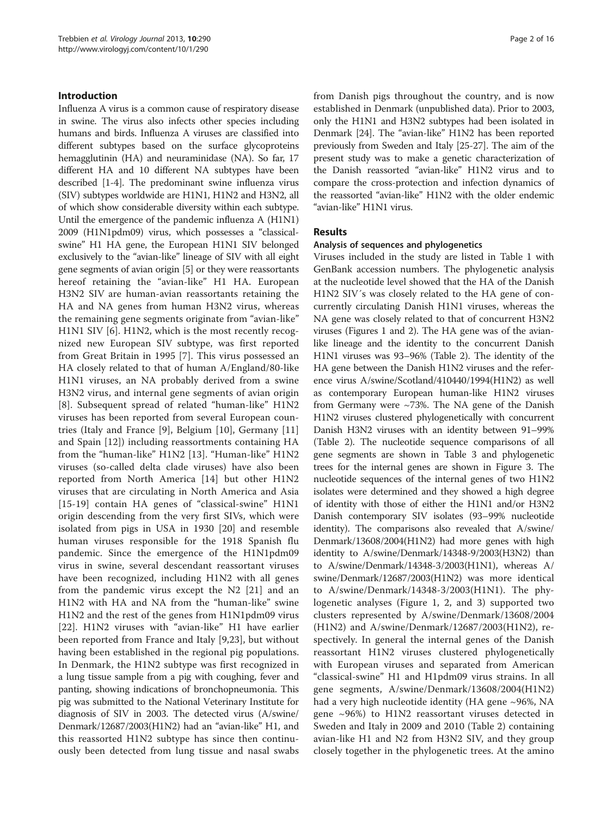## Introduction

Influenza A virus is a common cause of respiratory disease in swine. The virus also infects other species including humans and birds. Influenza A viruses are classified into different subtypes based on the surface glycoproteins hemagglutinin (HA) and neuraminidase (NA). So far, 17 different HA and 10 different NA subtypes have been described [\[1](#page-14-0)-[4\]](#page-14-0). The predominant swine influenza virus (SIV) subtypes worldwide are H1N1, H1N2 and H3N2, all of which show considerable diversity within each subtype. Until the emergence of the pandemic influenza A (H1N1) 2009 (H1N1pdm09) virus, which possesses a "classicalswine" H1 HA gene, the European H1N1 SIV belonged exclusively to the "avian-like" lineage of SIV with all eight gene segments of avian origin [\[5](#page-14-0)] or they were reassortants hereof retaining the "avian-like" H1 HA. European H3N2 SIV are human-avian reassortants retaining the HA and NA genes from human H3N2 virus, whereas the remaining gene segments originate from "avian-like" H1N1 SIV [[6\]](#page-14-0). H1N2, which is the most recently recognized new European SIV subtype, was first reported from Great Britain in 1995 [\[7](#page-14-0)]. This virus possessed an HA closely related to that of human A/England/80-like H1N1 viruses, an NA probably derived from a swine H3N2 virus, and internal gene segments of avian origin [[8\]](#page-14-0). Subsequent spread of related "human-like" H1N2 viruses has been reported from several European countries (Italy and France [\[9\]](#page-14-0), Belgium [[10\]](#page-14-0), Germany [\[11](#page-14-0)] and Spain [[12\]](#page-14-0)) including reassortments containing HA from the "human-like" H1N2 [\[13](#page-14-0)]. "Human-like" H1N2 viruses (so-called delta clade viruses) have also been reported from North America [[14](#page-14-0)] but other H1N2 viruses that are circulating in North America and Asia [[15-19\]](#page-14-0) contain HA genes of "classical-swine" H1N1 origin descending from the very first SIVs, which were isolated from pigs in USA in 1930 [[20\]](#page-14-0) and resemble human viruses responsible for the 1918 Spanish flu pandemic. Since the emergence of the H1N1pdm09 virus in swine, several descendant reassortant viruses have been recognized, including H1N2 with all genes from the pandemic virus except the N2 [[21](#page-14-0)] and an H1N2 with HA and NA from the "human-like" swine H1N2 and the rest of the genes from H1N1pdm09 virus [[22\]](#page-15-0). H1N2 viruses with "avian-like" H1 have earlier been reported from France and Italy [[9,](#page-14-0)[23\]](#page-15-0), but without having been established in the regional pig populations. In Denmark, the H1N2 subtype was first recognized in a lung tissue sample from a pig with coughing, fever and panting, showing indications of bronchopneumonia. This pig was submitted to the National Veterinary Institute for diagnosis of SIV in 2003. The detected virus (A/swine/ Denmark/12687/2003(H1N2) had an "avian-like" H1, and this reassorted H1N2 subtype has since then continuously been detected from lung tissue and nasal swabs from Danish pigs throughout the country, and is now established in Denmark (unpublished data). Prior to 2003, only the H1N1 and H3N2 subtypes had been isolated in Denmark [\[24\]](#page-15-0). The "avian-like" H1N2 has been reported previously from Sweden and Italy [[25](#page-15-0)-[27](#page-15-0)]. The aim of the present study was to make a genetic characterization of the Danish reassorted "avian-like" H1N2 virus and to compare the cross-protection and infection dynamics of the reassorted "avian-like" H1N2 with the older endemic "avian-like" H1N1 virus.

## Results

## Analysis of sequences and phylogenetics

Viruses included in the study are listed in Table [1](#page-2-0) with GenBank accession numbers. The phylogenetic analysis at the nucleotide level showed that the HA of the Danish H1N2 SIV´s was closely related to the HA gene of concurrently circulating Danish H1N1 viruses, whereas the NA gene was closely related to that of concurrent H3N2 viruses (Figures [1](#page-3-0) and [2\)](#page-4-0). The HA gene was of the avianlike lineage and the identity to the concurrent Danish H1N1 viruses was 93–96% (Table [2\)](#page-5-0). The identity of the HA gene between the Danish H1N2 viruses and the reference virus A/swine/Scotland/410440/1994(H1N2) as well as contemporary European human-like H1N2 viruses from Germany were ~73%. The NA gene of the Danish H1N2 viruses clustered phylogenetically with concurrent Danish H3N2 viruses with an identity between 91–99% (Table [2\)](#page-5-0). The nucleotide sequence comparisons of all gene segments are shown in Table [3](#page-6-0) and phylogenetic trees for the internal genes are shown in Figure [3](#page-8-0). The nucleotide sequences of the internal genes of two H1N2 isolates were determined and they showed a high degree of identity with those of either the H1N1 and/or H3N2 Danish contemporary SIV isolates (93–99% nucleotide identity). The comparisons also revealed that A/swine/ Denmark/13608/2004(H1N2) had more genes with high identity to A/swine/Denmark/14348-9/2003(H3N2) than to A/swine/Denmark/14348-3/2003(H1N1), whereas A/ swine/Denmark/12687/2003(H1N2) was more identical to A/swine/Denmark/14348-3/2003(H1N1). The phylogenetic analyses (Figure [1,](#page-3-0) [2,](#page-4-0) and [3\)](#page-8-0) supported two clusters represented by A/swine/Denmark/13608/2004 (H1N2) and A/swine/Denmark/12687/2003(H1N2), respectively. In general the internal genes of the Danish reassortant H1N2 viruses clustered phylogenetically with European viruses and separated from American "classical-swine" H1 and H1pdm09 virus strains. In all gene segments, A/swine/Denmark/13608/2004(H1N2) had a very high nucleotide identity (HA gene ~96%, NA gene  $\sim$ 96%) to H1N2 reassortant viruses detected in Sweden and Italy in 2009 and 2010 (Table [2](#page-5-0)) containing avian-like H1 and N2 from H3N2 SIV, and they group closely together in the phylogenetic trees. At the amino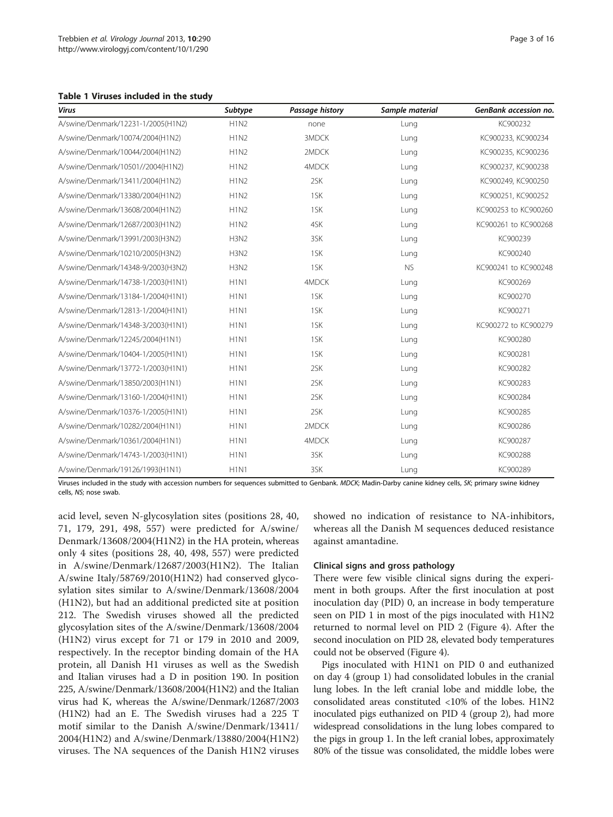<span id="page-2-0"></span>

| Virus                              | Subtype                       | Passage history | Sample material | GenBank accession no. |
|------------------------------------|-------------------------------|-----------------|-----------------|-----------------------|
| A/swine/Denmark/12231-1/2005(H1N2) | <b>H1N2</b>                   | none            | Lung            | KC900232              |
| A/swine/Denmark/10074/2004(H1N2)   | <b>H1N2</b>                   | 3MDCK           | Lung            | KC900233, KC900234    |
| A/swine/Denmark/10044/2004(H1N2)   | <b>H1N2</b>                   | 2MDCK           | Lung            | KC900235, KC900236    |
| A/swine/Denmark/10501//2004(H1N2)  | <b>H1N2</b>                   | 4MDCK           | Lung            | KC900237, KC900238    |
| A/swine/Denmark/13411/2004(H1N2)   | <b>H1N2</b>                   | 2SK             | Lung            | KC900249, KC900250    |
| A/swine/Denmark/13380/2004(H1N2)   | <b>H1N2</b>                   | 1SK             | Lung            | KC900251, KC900252    |
| A/swine/Denmark/13608/2004(H1N2)   | <b>H1N2</b>                   | 1SK             | Lung            | KC900253 to KC900260  |
| A/swine/Denmark/12687/2003(H1N2)   | H1N2                          | 4SK             | Lung            | KC900261 to KC900268  |
| A/swine/Denmark/13991/2003(H3N2)   | H <sub>3</sub> N <sub>2</sub> | 3SK             | Lung            | KC900239              |
| A/swine/Denmark/10210/2005(H3N2)   | <b>H3N2</b>                   | 1SK             | Lung            | KC900240              |
| A/swine/Denmark/14348-9/2003(H3N2) | <b>H3N2</b>                   | 1SK             | <b>NS</b>       | KC900241 to KC900248  |
| A/swine/Denmark/14738-1/2003(H1N1) | H1N1                          | 4MDCK           | Lung            | KC900269              |
| A/swine/Denmark/13184-1/2004(H1N1) | H <sub>1</sub> N <sub>1</sub> | 1SK             | Lung            | KC900270              |
| A/swine/Denmark/12813-1/2004(H1N1) | H1N1                          | 1SK             | Lung            | KC900271              |
| A/swine/Denmark/14348-3/2003(H1N1) | H1N1                          | 1SK             | Lung            | KC900272 to KC900279  |
| A/swine/Denmark/12245/2004(H1N1)   | H <sub>1</sub> N <sub>1</sub> | 1SK             | Lung            | KC900280              |
| A/swine/Denmark/10404-1/2005(H1N1) | H1N1                          | 1SK             | Lung            | KC900281              |
| A/swine/Denmark/13772-1/2003(H1N1) | H <sub>1</sub> N <sub>1</sub> | 2SK             | Lung            | KC900282              |
| A/swine/Denmark/13850/2003(H1N1)   | H1N1                          | 2SK             | Lung            | KC900283              |
| A/swine/Denmark/13160-1/2004(H1N1) | H <sub>1</sub> N <sub>1</sub> | 2SK             | Lung            | KC900284              |
| A/swine/Denmark/10376-1/2005(H1N1) | H <sub>1</sub> N <sub>1</sub> | 2SK             | Lung            | KC900285              |
| A/swine/Denmark/10282/2004(H1N1)   | H <sub>1</sub> N <sub>1</sub> | 2MDCK           | Lung            | KC900286              |
| A/swine/Denmark/10361/2004(H1N1)   | H <sub>1</sub> N <sub>1</sub> | 4MDCK           | Lung            | KC900287              |
| A/swine/Denmark/14743-1/2003(H1N1) | H1N1                          | 3SK             | Lung            | KC900288              |
| A/swine/Denmark/19126/1993(H1N1)   | H <sub>1</sub> N <sub>1</sub> | 3SK             | Lung            | KC900289              |

Viruses included in the study with accession numbers for sequences submitted to Genbank. MDCK; Madin-Darby canine kidney cells, SK; primary swine kidney cells, NS; nose swab.

acid level, seven N-glycosylation sites (positions 28, 40, 71, 179, 291, 498, 557) were predicted for A/swine/ Denmark/13608/2004(H1N2) in the HA protein, whereas only 4 sites (positions 28, 40, 498, 557) were predicted in A/swine/Denmark/12687/2003(H1N2). The Italian A/swine Italy/58769/2010(H1N2) had conserved glycosylation sites similar to A/swine/Denmark/13608/2004 (H1N2), but had an additional predicted site at position 212. The Swedish viruses showed all the predicted glycosylation sites of the A/swine/Denmark/13608/2004 (H1N2) virus except for 71 or 179 in 2010 and 2009, respectively. In the receptor binding domain of the HA protein, all Danish H1 viruses as well as the Swedish and Italian viruses had a D in position 190. In position 225, A/swine/Denmark/13608/2004(H1N2) and the Italian virus had K, whereas the A/swine/Denmark/12687/2003 (H1N2) had an E. The Swedish viruses had a 225 T motif similar to the Danish A/swine/Denmark/13411/ 2004(H1N2) and A/swine/Denmark/13880/2004(H1N2) viruses. The NA sequences of the Danish H1N2 viruses showed no indication of resistance to NA-inhibitors, whereas all the Danish M sequences deduced resistance against amantadine.

## Clinical signs and gross pathology

There were few visible clinical signs during the experiment in both groups. After the first inoculation at post inoculation day (PID) 0, an increase in body temperature seen on PID 1 in most of the pigs inoculated with H1N2 returned to normal level on PID 2 (Figure [4\)](#page-8-0). After the second inoculation on PID 28, elevated body temperatures could not be observed (Figure [4](#page-8-0)).

Pigs inoculated with H1N1 on PID 0 and euthanized on day 4 (group 1) had consolidated lobules in the cranial lung lobes. In the left cranial lobe and middle lobe, the consolidated areas constituted <10% of the lobes. H1N2 inoculated pigs euthanized on PID 4 (group 2), had more widespread consolidations in the lung lobes compared to the pigs in group 1. In the left cranial lobes, approximately 80% of the tissue was consolidated, the middle lobes were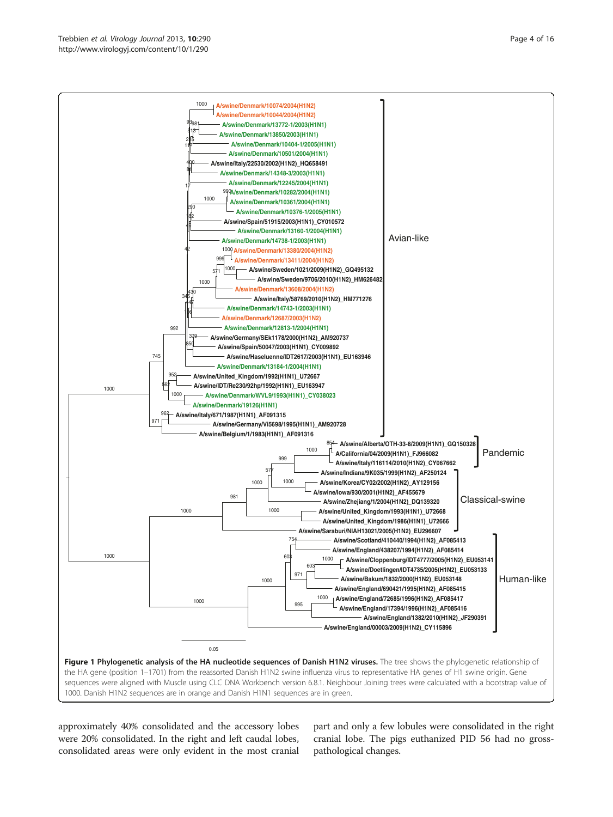<span id="page-3-0"></span>

approximately 40% consolidated and the accessory lobes were 20% consolidated. In the right and left caudal lobes, consolidated areas were only evident in the most cranial

part and only a few lobules were consolidated in the right cranial lobe. The pigs euthanized PID 56 had no grosspathological changes.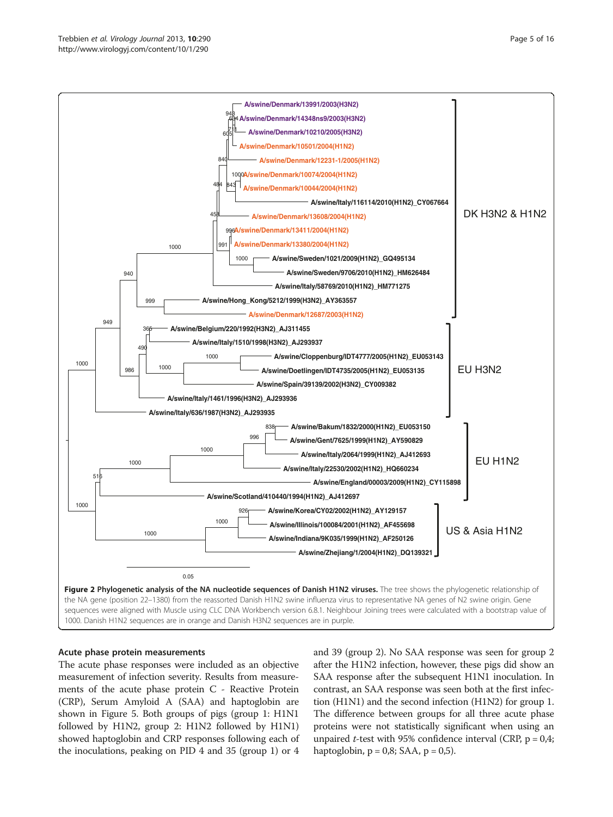<span id="page-4-0"></span>

#### Acute phase protein measurements

The acute phase responses were included as an objective measurement of infection severity. Results from measurements of the acute phase protein C - Reactive Protein (CRP), Serum Amyloid A (SAA) and haptoglobin are shown in Figure [5](#page-9-0). Both groups of pigs (group 1: H1N1 followed by H1N2, group 2: H1N2 followed by H1N1) showed haptoglobin and CRP responses following each of the inoculations, peaking on PID 4 and 35 (group 1) or 4

and 39 (group 2). No SAA response was seen for group 2 after the H1N2 infection, however, these pigs did show an SAA response after the subsequent H1N1 inoculation. In contrast, an SAA response was seen both at the first infection (H1N1) and the second infection (H1N2) for group 1. The difference between groups for all three acute phase proteins were not statistically significant when using an unpaired *t*-test with 95% confidence interval (CRP,  $p = 0.4$ ; haptoglobin,  $p = 0.8$ ; SAA,  $p = 0.5$ ).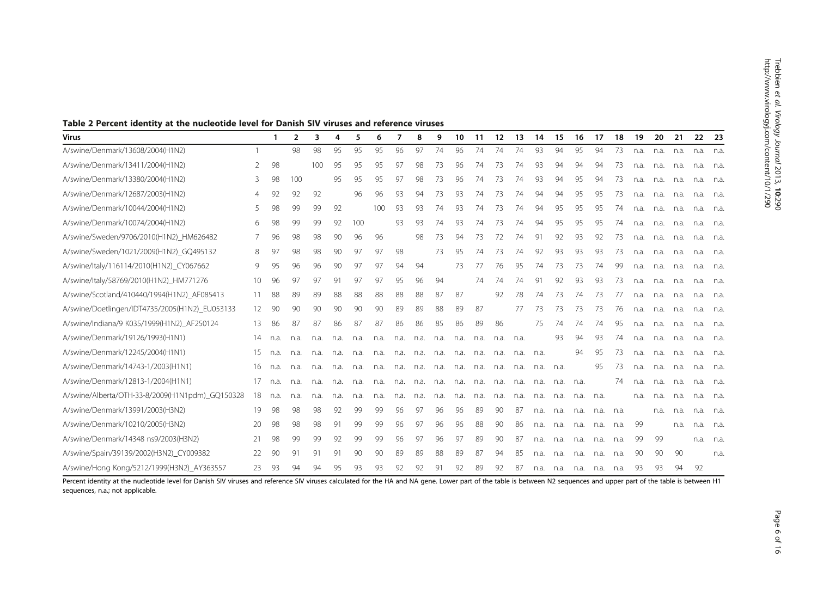<span id="page-5-0"></span>

|  |  | Table 2 Percent identity at the nucleotide level for Danish SIV viruses and reference viruses |  |
|--|--|-----------------------------------------------------------------------------------------------|--|
|--|--|-----------------------------------------------------------------------------------------------|--|

| Virus                                           |    | -1   | $\overline{2}$ | 3    | 4    | 5    | 6    |      | 8    | 9    | 10   | 11   | 12   | 13   | 14   | 15   | 16   | 17   | 18   | 19   | 20   | 21   | 22   | -23  |
|-------------------------------------------------|----|------|----------------|------|------|------|------|------|------|------|------|------|------|------|------|------|------|------|------|------|------|------|------|------|
| A/swine/Denmark/13608/2004(H1N2)                |    |      | 98             | 98   | 95   | 95   | 95   | 96   | 97   | 74   | 96   | 74   | 74   | 74   | 93   | 94   | 95   | 94   | 73   | n.a. | n.a. | n.a. | n.a. | n.a. |
| A/swine/Denmark/13411/2004(H1N2)                | 2  | 98   |                | 100  | 95   | 95   | 95   | 97   | 98   | 73   | 96   | 74   | 73   | 74   | 93   | 94   | 94   | 94   | 73   | n.a. | n.a. | n.a. | n.a. | n.a. |
| A/swine/Denmark/13380/2004(H1N2)                | 3  | 98   | 100            |      | 95   | 95   | 95   | 97   | 98   | 73   | 96   | 74   | 73   | 74   | 93   | 94   | 95   | 94   | 73   | n.a. | n.a. | n.a. | n.a. | n.a. |
| A/swine/Denmark/12687/2003(H1N2)                | 4  | 92   | 92             | 92   |      | 96   | 96   | 93   | 94   | 73   | 93   | 74   | 73   | 74   | 94   | 94   | 95   | 95   | 73   | n.a. | n.a. | n.a. | n.a. | n.a. |
| A/swine/Denmark/10044/2004(H1N2)                | 5  | 98   | 99             | 99   | 92   |      | 100  | 93   | 93   | 74   | 93   | 74   | 73   | 74   | 94   | 95   | 95   | 95   | 74   | n.a. | n.a. | n.a. | n.a. | n.a. |
| A/swine/Denmark/10074/2004(H1N2)                | 6  | 98   | 99             | 99   | 92   | 100  |      | 93   | 93   | 74   | 93   | 74   | 73   | 74   | 94   | 95   | 95   | 95   | 74   | n.a. | n.a. | n.a. | n.a. | n.a. |
| A/swine/Sweden/9706/2010(H1N2)_HM626482         |    | 96   | 98             | 98   | 90   | 96   | 96   |      | 98   | 73   | 94   | 73   | 72   | 74   | 91   | 92   | 93   | 92   | 73   | n.a. | n.a. | n.a. | n.a. | n.a. |
| A/swine/Sweden/1021/2009(H1N2) GQ495132         | 8  | 97   | 98             | 98   | 90   | 97   | 97   | 98   |      | 73   | 95   | 74   | 73   | 74   | 92   | 93   | 93   | 93   | 73   | n.a. | n.a. | n.a. | n.a. | n.a. |
| A/swine/Italy/116114/2010(H1N2)_CY067662        | 9  | 95   | 96             | 96   | 90   | 97   | 97   | 94   | 94   |      | 73   | 77   | 76   | 95   | 74   | 73   | 73   | 74   | 99   | n.a. | n.a. | n.a. | n.a. | n.a. |
| A/swine/Italy/58769/2010(H1N2)_HM771276         | 10 | 96   | 97             | 97   | 91   | 97   | 97   | 95   | 96   | 94   |      | 74   | 74   | 74   | 91   | 92   | -93  | 93   | 73   | n.a. | n.a. | n.a. | n.a. | n.a. |
| A/swine/Scotland/410440/1994(H1N2)_AF085413     | 11 | 88   | 89             | 89   | 88   | 88   | 88   | 88   | 88   | 87   | 87   |      | 92   | 78   | 74   | 73   | 74   | 73   | 77   | n.a. | n.a. | n.a. | n.a. | n.a. |
| A/swine/Doetlingen/IDT4735/2005(H1N2) EU053133  | 12 | 90   | 90             | 90   | 90   | 90   | 90   | 89   | 89   | 88   | 89   | 87   |      | 77   | 73   | 73   | 73   | 73   | 76   | n.a. | n.a. | n.a. | n.a. | n.a. |
| A/swine/Indiana/9 K035/1999(H1N2) AF250124      | 13 | 86   | 87             | 87   | 86   | 87   | 87   | 86   | 86   | 85   | 86   | 89   | 86   |      | 75   | 74   | 74   | 74   | 95   | n.a. | n.a. | n.a. | n.a. | n.a. |
| A/swine/Denmark/19126/1993(H1N1)                | 14 | n.a. | n.a.           | n.a. | n.a. | n.a. | n.a. | n.a. | n.a. | n.a. | n.a. | n.a. | n.a. | n.a. |      | 93   | 94   | 93   | 74   | n.a. | n.a. | n.a. | n.a. | n.a. |
| A/swine/Denmark/12245/2004(H1N1)                | 15 | n.a. | n.a.           | n.a. | n.a. | n.a. | n.a. | n.a. | n.a. | n.a. | n.a. | n.a. | n.a. | n.a. | n.a. |      | 94   | 95   | 73   | n.a. | n.a. | n.a. | n.a. | n.a. |
| A/swine/Denmark/14743-1/2003(H1N1)              | 16 | n.a. | n.a.           | n.a. | n.a. | n.a. | n.a. | n.a. | n.a. | n.a. | n.a. | n.a. | n.a. | n.a. | n.a. | n.a. |      | 95   | -73  | n.a. | n.a. | n.a. | n.a. | n.a. |
| A/swine/Denmark/12813-1/2004(H1N1)              |    | n.a. | n.a.           | n.a. | n.a. | n.a. | n.a. | n.a. | n.a. | n.a. | n.a. | n.a. | n.a. | n.a. | n.a. | n.a. | n.a. |      | 74   | n.a. | n.a. | n.a. | n.a. | n.a. |
| A/swine/Alberta/OTH-33-8/2009(H1N1pdm) GQ150328 | 18 | n.a. | n.a.           | n.a. | n.a. | n.a. | n.a. | n.a. | n.a. | n.a. | n.a. | n.a. | n.a. | n.a. | n.a. | n.a. | n.a. | n.a. |      | n.a. | n.a. | n.a. | n.a. | n.a. |
| A/swine/Denmark/13991/2003(H3N2)                | 19 | 98   | 98             | 98   | 92   | 99   | 99   | 96   | 97   | 96   | 96   | 89   | 90   | 87   | n.a. | n.a. | n.a. | n.a. | n.a. |      | n.a. | n.a. | n.a. | n.a. |
| A/swine/Denmark/10210/2005(H3N2)                | 20 | 98   | 98             | 98   | 91   | 99   | 99   | 96   | 97   | 96   | 96   | 88   | 90   | 86   | n.a. | n.a. | n.a. | n.a. | n.a. | -99  |      | n.a. | n.a. | n.a. |
| A/swine/Denmark/14348 ns9/2003(H3N2)            | 21 | 98   | 99             | 99   | 92   | 99   | 99   | 96   | 97   | 96   | 97   | 89   | 90   | 87   | n.a. | n.a. | n.a. | n.a. | n.a. | 99   | 99   |      | n.a. | n.a. |
| A/swine/Spain/39139/2002(H3N2)_CY009382         | 22 | 90   | 91             | 91   | 91   | 90   | 90   | 89   | 89   | 88   | 89   | 87   | 94   | 85   | n.a. | n.a. | n.a. | n.a. | n.a. | 90   | 90   | 90   |      | n.a. |
| A/swine/Hong Kong/5212/1999(H3N2)_AY363557      | 23 | 93   | 94             | 94   | 95   | 93   | 93   | 92   | 92   | 91   | 92   | 89   | 92   | 87   | n.a. | n.a. | n.a. | n.a. | n.a. | 93.  | 93   | 94   | 92   |      |

Percent identity at the nucleotide level for Danish SIV viruses and reference SIV viruses calculated for the HA and NA gene. Lower part of the table is between N2 sequences and upper part of the table is between H1 sequences, n.a.; not applicable.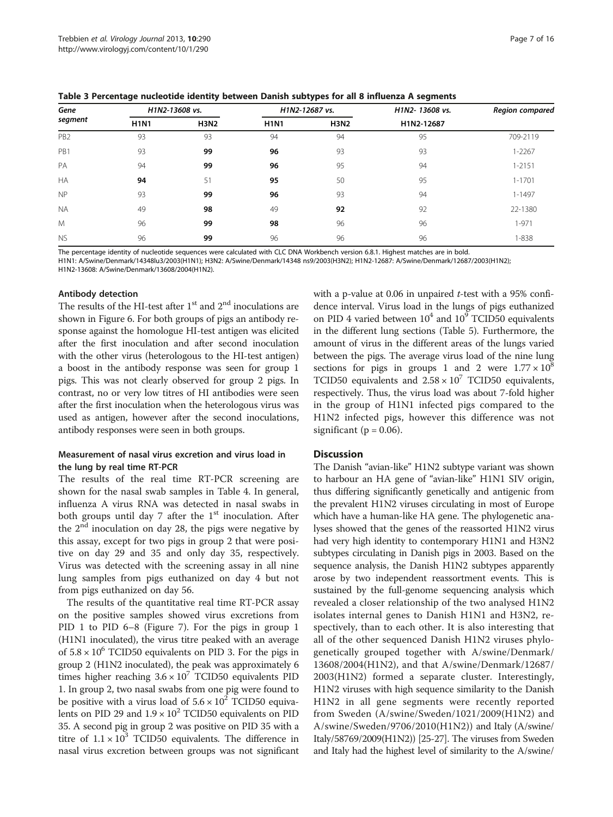<span id="page-6-0"></span>Table 3 Percentage nucleotide identity between Danish subtypes for all 8 influenza A segments

|                 | -           |                |             | . .            | -              |                 |  |  |
|-----------------|-------------|----------------|-------------|----------------|----------------|-----------------|--|--|
| Gene<br>segment |             | H1N2-13608 vs. |             | H1N2-12687 vs. | H1N2-13608 vs. | Region compared |  |  |
|                 | <b>H1N1</b> | <b>H3N2</b>    | <b>H1N1</b> | <b>H3N2</b>    | H1N2-12687     |                 |  |  |
| PB <sub>2</sub> | 93          | 93             | 94          | 94             | 95             | 709-2119        |  |  |
| PB1             | 93          | 99             | 96          | 93             | 93             | $1 - 2267$      |  |  |
| PA              | 94          | 99             | 96          | 95             | 94             | $1 - 2151$      |  |  |
| <b>HA</b>       | 94          | 51             | 95          | 50             | 95             | $1 - 1701$      |  |  |
| <b>NP</b>       | 93          | 99             | 96          | 93             | 94             | $1 - 1497$      |  |  |
| <b>NA</b>       | 49          | 98             | 49          | 92             | 92             | 22-1380         |  |  |
| M               | 96          | 99             | 98          | 96             | 96             | $1 - 971$       |  |  |
| <b>NS</b>       | 96          | 99             | 96          | 96             | 96             | $1 - 838$       |  |  |

The percentage identity of nucleotide sequences were calculated with CLC DNA Workbench version 6.8.1. Highest matches are in bold.

H1N1: A/Swine/Denmark/14348lu3/2003(H1N1); H3N2: A/Swine/Denmark/14348 ns9/2003(H3N2); H1N2-12687: A/Swine/Denmark/12687/2003(H1N2);

H1N2-13608: A/Swine/Denmark/13608/2004(H1N2).

#### Antibody detection

The results of the HI-test after  $1^{\rm st}$  and  $2^{\rm nd}$  inoculations are shown in Figure [6.](#page-10-0) For both groups of pigs an antibody response against the homologue HI-test antigen was elicited after the first inoculation and after second inoculation with the other virus (heterologous to the HI-test antigen) a boost in the antibody response was seen for group 1 pigs. This was not clearly observed for group 2 pigs. In contrast, no or very low titres of HI antibodies were seen after the first inoculation when the heterologous virus was used as antigen, however after the second inoculations, antibody responses were seen in both groups.

## Measurement of nasal virus excretion and virus load in the lung by real time RT-PCR

The results of the real time RT-PCR screening are shown for the nasal swab samples in Table [4.](#page-10-0) In general, influenza A virus RNA was detected in nasal swabs in both groups until day 7 after the  $1<sup>st</sup>$  inoculation. After the  $2<sup>nd</sup>$  inoculation on day 28, the pigs were negative by this assay, except for two pigs in group 2 that were positive on day 29 and 35 and only day 35, respectively. Virus was detected with the screening assay in all nine lung samples from pigs euthanized on day 4 but not from pigs euthanized on day 56.

The results of the quantitative real time RT-PCR assay on the positive samples showed virus excretions from PID 1 to PID 6–8 (Figure [7](#page-11-0)). For the pigs in group 1 (H1N1 inoculated), the virus titre peaked with an average of  $5.8 \times 10^6$  TCID50 equivalents on PID 3. For the pigs in group 2 (H1N2 inoculated), the peak was approximately 6 times higher reaching  $3.6 \times 10^7$  TCID50 equivalents PID 1. In group 2, two nasal swabs from one pig were found to be positive with a virus load of  $5.6 \times 10^2$  TCID50 equivalents on PID 29 and  $1.9 \times 10^2$  TCID50 equivalents on PID 35. A second pig in group 2 was positive on PID 35 with a titre of  $1.1 \times 10^3$  TCID50 equivalents. The difference in nasal virus excretion between groups was not significant with a p-value at  $0.06$  in unpaired  $t$ -test with a 95% confidence interval. Virus load in the lungs of pigs euthanized on PID 4 varied between  $10^4$  and  $10^9$  TCID50 equivalents in the different lung sections (Table [5](#page-11-0)). Furthermore, the amount of virus in the different areas of the lungs varied between the pigs. The average virus load of the nine lung sections for pigs in groups 1 and 2 were  $1.77 \times 10^8$ TCID50 equivalents and  $2.58 \times 10^7$  TCID50 equivalents, respectively. Thus, the virus load was about 7-fold higher in the group of H1N1 infected pigs compared to the H1N2 infected pigs, however this difference was not significant ( $p = 0.06$ ).

## **Discussion**

The Danish "avian-like" H1N2 subtype variant was shown to harbour an HA gene of "avian-like" H1N1 SIV origin, thus differing significantly genetically and antigenic from the prevalent H1N2 viruses circulating in most of Europe which have a human-like HA gene. The phylogenetic analyses showed that the genes of the reassorted H1N2 virus had very high identity to contemporary H1N1 and H3N2 subtypes circulating in Danish pigs in 2003. Based on the sequence analysis, the Danish H1N2 subtypes apparently arose by two independent reassortment events. This is sustained by the full-genome sequencing analysis which revealed a closer relationship of the two analysed H1N2 isolates internal genes to Danish H1N1 and H3N2, respectively, than to each other. It is also interesting that all of the other sequenced Danish H1N2 viruses phylogenetically grouped together with A/swine/Denmark/ 13608/2004(H1N2), and that A/swine/Denmark/12687/ 2003(H1N2) formed a separate cluster. Interestingly, H1N2 viruses with high sequence similarity to the Danish H1N2 in all gene segments were recently reported from Sweden (A/swine/Sweden/1021/2009(H1N2) and A/swine/Sweden/9706/2010(H1N2)) and Italy (A/swine/ Italy/58769/2009(H1N2)) [\[25-27\]](#page-15-0). The viruses from Sweden and Italy had the highest level of similarity to the A/swine/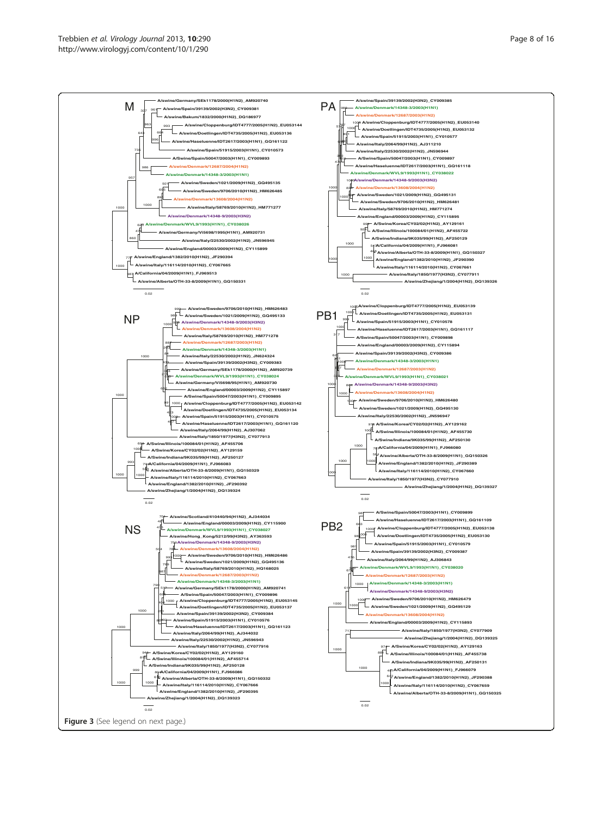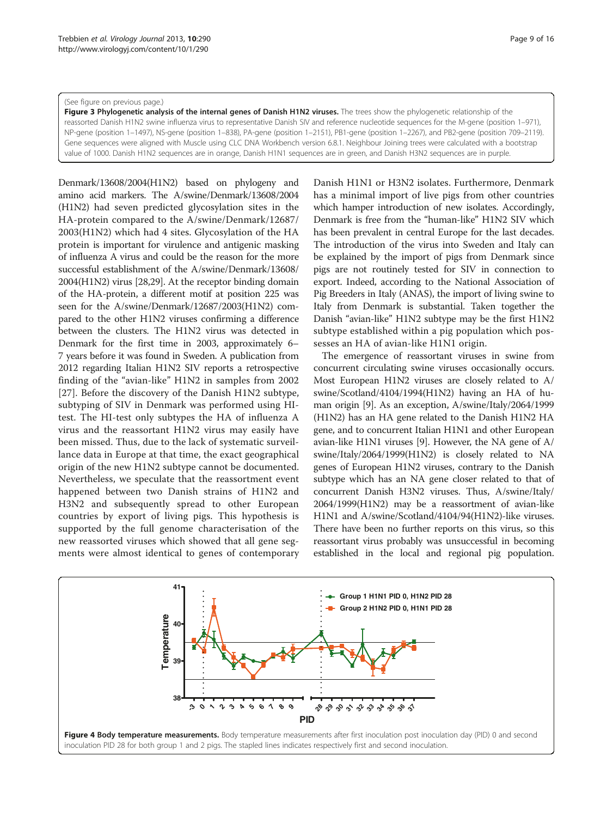#### <span id="page-8-0"></span>(See figure on previous page.)

Figure 3 Phylogenetic analysis of the internal genes of Danish H1N2 viruses. The trees show the phylogenetic relationship of the reassorted Danish H1N2 swine influenza virus to representative Danish SIV and reference nucleotide sequences for the M-gene (position 1–971), NP-gene (position 1–1497), NS-gene (position 1–838), PA-gene (position 1–2151), PB1-gene (position 1–2267), and PB2-gene (position 709–2119). Gene sequences were aligned with Muscle using CLC DNA Workbench version 6.8.1. Neighbour Joining trees were calculated with a bootstrap value of 1000. Danish H1N2 sequences are in orange, Danish H1N1 sequences are in green, and Danish H3N2 sequences are in purple.

Denmark/13608/2004(H1N2) based on phylogeny and amino acid markers. The A/swine/Denmark/13608/2004 (H1N2) had seven predicted glycosylation sites in the HA-protein compared to the A/swine/Denmark/12687/ 2003(H1N2) which had 4 sites. Glycosylation of the HA protein is important for virulence and antigenic masking of influenza A virus and could be the reason for the more successful establishment of the A/swine/Denmark/13608/ 2004(H1N2) virus [\[28,29\]](#page-15-0). At the receptor binding domain of the HA-protein, a different motif at position 225 was seen for the A/swine/Denmark/12687/2003(H1N2) compared to the other H1N2 viruses confirming a difference between the clusters. The H1N2 virus was detected in Denmark for the first time in 2003, approximately 6– 7 years before it was found in Sweden. A publication from 2012 regarding Italian H1N2 SIV reports a retrospective finding of the "avian-like" H1N2 in samples from 2002 [[27\]](#page-15-0). Before the discovery of the Danish H1N2 subtype, subtyping of SIV in Denmark was performed using HItest. The HI-test only subtypes the HA of influenza A virus and the reassortant H1N2 virus may easily have been missed. Thus, due to the lack of systematic surveillance data in Europe at that time, the exact geographical origin of the new H1N2 subtype cannot be documented. Nevertheless, we speculate that the reassortment event happened between two Danish strains of H1N2 and H3N2 and subsequently spread to other European countries by export of living pigs. This hypothesis is supported by the full genome characterisation of the new reassorted viruses which showed that all gene segments were almost identical to genes of contemporary

Danish H1N1 or H3N2 isolates. Furthermore, Denmark has a minimal import of live pigs from other countries which hamper introduction of new isolates. Accordingly, Denmark is free from the "human-like" H1N2 SIV which has been prevalent in central Europe for the last decades. The introduction of the virus into Sweden and Italy can be explained by the import of pigs from Denmark since pigs are not routinely tested for SIV in connection to export. Indeed, according to the National Association of Pig Breeders in Italy (ANAS), the import of living swine to Italy from Denmark is substantial. Taken together the Danish "avian-like" H1N2 subtype may be the first H1N2 subtype established within a pig population which possesses an HA of avian-like H1N1 origin.

The emergence of reassortant viruses in swine from concurrent circulating swine viruses occasionally occurs. Most European H1N2 viruses are closely related to A/ swine/Scotland/4104/1994(H1N2) having an HA of human origin [[9](#page-14-0)]. As an exception, A/swine/Italy/2064/1999 (H1N2) has an HA gene related to the Danish H1N2 HA gene, and to concurrent Italian H1N1 and other European avian-like H1N1 viruses [[9\]](#page-14-0). However, the NA gene of A/ swine/Italy/2064/1999(H1N2) is closely related to NA genes of European H1N2 viruses, contrary to the Danish subtype which has an NA gene closer related to that of concurrent Danish H3N2 viruses. Thus, A/swine/Italy/ 2064/1999(H1N2) may be a reassortment of avian-like H1N1 and A/swine/Scotland/4104/94(H1N2)-like viruses. There have been no further reports on this virus, so this reassortant virus probably was unsuccessful in becoming established in the local and regional pig population.

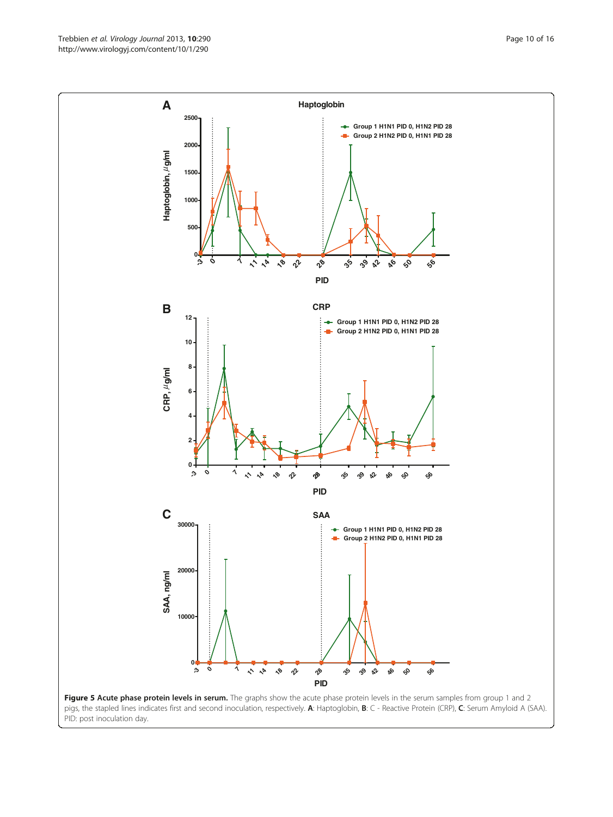<span id="page-9-0"></span>Trebbien et al. Virology Journal 2013, 10:290 **Page 10 of 16** Page 10 of 16 http://www.virologyj.com/content/10/1/290



PID: post inoculation day.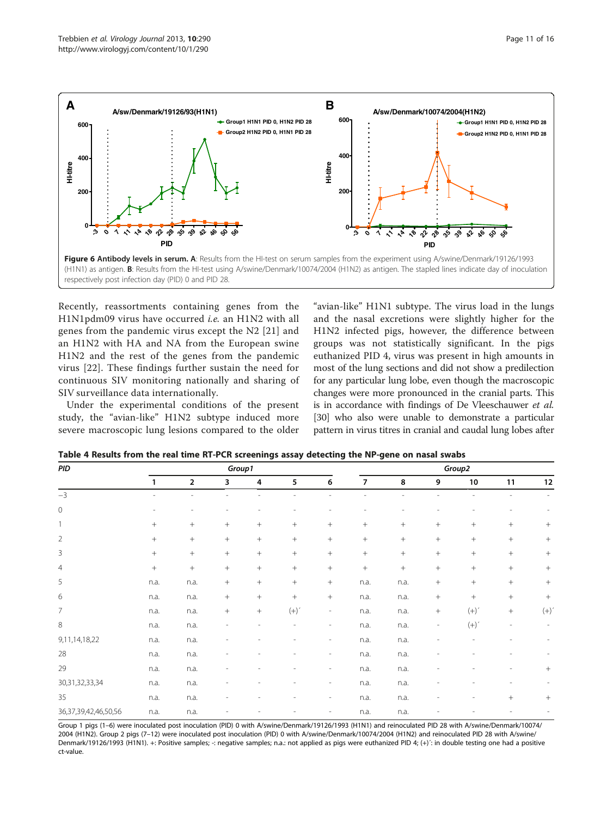<span id="page-10-0"></span>

Recently, reassortments containing genes from the H1N1pdm09 virus have occurred *i.e.* an H1N2 with all genes from the pandemic virus except the N2 [\[21\]](#page-14-0) and an H1N2 with HA and NA from the European swine H1N2 and the rest of the genes from the pandemic virus [[22\]](#page-15-0). These findings further sustain the need for continuous SIV monitoring nationally and sharing of SIV surveillance data internationally.

Under the experimental conditions of the present study, the "avian-like" H1N2 subtype induced more severe macroscopic lung lesions compared to the older

"avian-like" H1N1 subtype. The virus load in the lungs and the nasal excretions were slightly higher for the H1N2 infected pigs, however, the difference between groups was not statistically significant. In the pigs euthanized PID 4, virus was present in high amounts in most of the lung sections and did not show a predilection for any particular lung lobe, even though the macroscopic changes were more pronounced in the cranial parts. This is in accordance with findings of De Vleeschauwer et al. [[30](#page-15-0)] who also were unable to demonstrate a particular pattern in virus titres in cranial and caudal lung lobes after

| PID                        |        |                         | Group1          |                 |           | Group2                       |                |        |                          |                    |                          |                 |  |
|----------------------------|--------|-------------------------|-----------------|-----------------|-----------|------------------------------|----------------|--------|--------------------------|--------------------|--------------------------|-----------------|--|
|                            | 1      | $\overline{\mathbf{2}}$ | 3               | 4               | 5         | 6                            | $\overline{7}$ | 8      | 9                        | 10                 | 11                       | 12              |  |
| $-3$                       |        | ٠                       |                 |                 |           |                              |                |        |                          |                    | $\overline{\phantom{a}}$ |                 |  |
| $\circ$                    |        | ۰                       |                 |                 |           |                              |                |        |                          |                    |                          |                 |  |
| $\overline{1}$             | $+$    | $\! + \!\!\!\!$         | $\! + \!\!\!\!$ | $\! + \!\!\!\!$ | $+$       | $^{+}$                       |                | $+$    | $^{+}$                   | $+$                | $^{+}$                   | $^{+}$          |  |
| $\overline{2}$             | $+$    | $+$                     | $^{+}$          | $^{+}$          | $+$       | $^{+}$                       | $+$            | $^{+}$ | $^{+}$                   | $\, +$             | $^{+}$                   | $^{+}$          |  |
| $\overline{3}$             | $\, +$ |                         | $+$             | $^{+}$          | $\, +$    | $^{+}$                       | $^{+}$         | $+$    | $^{+}$                   | $\, +$             | $^{+}$                   | $^{+}$          |  |
| $\overline{4}$             | $\, +$ |                         | $^{+}$          | $+$             | $+$       | $^{+}$                       |                | $+$    | $^{+}$                   | $\, +$             | $^{+}$                   | $^{+}$          |  |
| 5                          | n.a.   | n.a.                    | $\! + \!\!\!\!$ | $+$             | $+$       |                              | n.a.           | n.a.   | $+$                      | $\! + \!\!\!\!$    | $\! + \!\!\!\!$          |                 |  |
| 6                          | n.a.   | n.a.                    | $\! + \!\!\!\!$ | $+$             | $+$       | $\boldsymbol{+}$             | n.a.           | n.a.   | $\! +$                   | $\! +$             | $\! + \!\!\!\!$          |                 |  |
| $\overline{7}$             | n.a.   | n.a.                    | $+$             | $\! +$          | $(+)^{'}$ | $\overline{\phantom{a}}$     | n.a.           | n.a.   | $\! +$                   | $(+)$ $\acute{}$   | $\! + \!\!\!\!$          | $(+)^{\prime}$  |  |
| 8                          | n.a.   | n.a.                    |                 |                 |           | ٠                            | n.a.           | n.a.   | $\overline{\phantom{a}}$ | $(+)$ <sup>'</sup> | $\overline{\phantom{a}}$ |                 |  |
| 9,11,14,18,22              | n.a.   | n.a.                    |                 |                 |           | $\overline{\phantom{a}}$     | n.a.           | n.a.   |                          |                    |                          |                 |  |
| 28                         | n.a.   | n.a.                    |                 |                 |           | $\overline{\phantom{a}}$     | n.a.           | n.a.   |                          |                    | $\overline{\phantom{0}}$ |                 |  |
| 29                         | n.a.   | n.a.                    |                 |                 |           | $\overline{\phantom{a}}$     | n.a.           | n.a.   |                          |                    | $\overline{a}$           | $^{+}$          |  |
| 30, 31, 32, 33, 34         | n.a.   | n.a.                    |                 |                 |           | $\overline{\phantom{a}}$     | n.a.           | n.a.   |                          |                    |                          |                 |  |
| 35                         | n.a.   | n.a.                    |                 |                 |           | $\overline{\phantom{0}}$     | n.a.           | n.a.   |                          |                    | $^{+}$                   | $\! + \!\!\!\!$ |  |
| 36, 37, 39, 42, 46, 50, 56 | n.a.   | n.a.                    |                 |                 |           | $\qquad \qquad \blacksquare$ | n.a.           | n.a.   |                          |                    |                          |                 |  |

Table 4 Results from the real time RT-PCR screenings assay detecting the NP-gene on nasal swabs

Group 1 pigs (1–6) were inoculated post inoculation (PID) 0 with A/swine/Denmark/19126/1993 (H1N1) and reinoculated PID 28 with A/swine/Denmark/10074/ 2004 (H1N2). Group 2 pigs (7–12) were inoculated post inoculation (PID) 0 with A/swine/Denmark/10074/2004 (H1N2) and reinoculated PID 28 with A/swine/ Denmark/19126/1993 (H1N1). +: Positive samples; -: negative samples; n.a.: not applied as pigs were euthanized PID 4; (+)': in double testing one had a positive ct-value.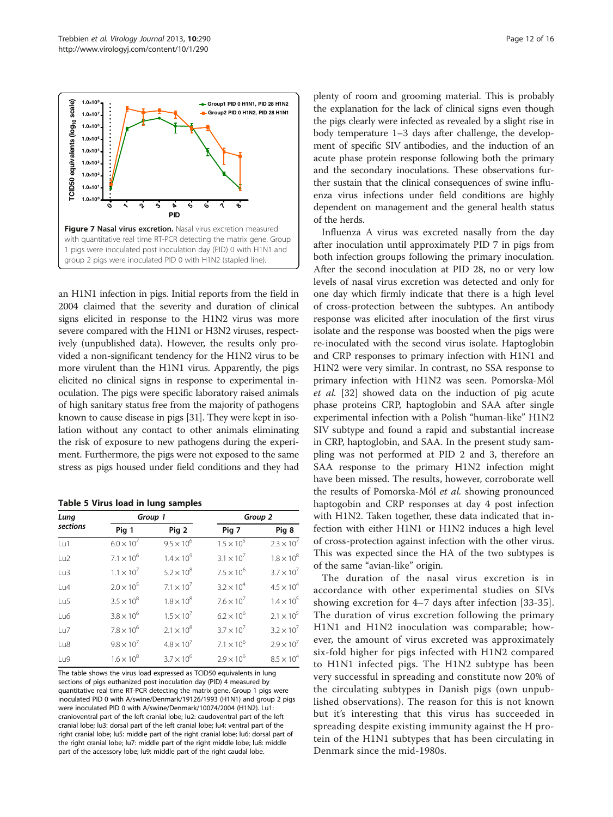<span id="page-11-0"></span>

an H1N1 infection in pigs. Initial reports from the field in 2004 claimed that the severity and duration of clinical signs elicited in response to the H1N2 virus was more severe compared with the H1N1 or H3N2 viruses, respectively (unpublished data). However, the results only provided a non-significant tendency for the H1N2 virus to be more virulent than the H1N1 virus. Apparently, the pigs elicited no clinical signs in response to experimental inoculation. The pigs were specific laboratory raised animals of high sanitary status free from the majority of pathogens known to cause disease in pigs [\[31\]](#page-15-0). They were kept in isolation without any contact to other animals eliminating the risk of exposure to new pathogens during the experiment. Furthermore, the pigs were not exposed to the same stress as pigs housed under field conditions and they had

| Table 5 Virus load in lung samples |  |  |  |  |  |  |
|------------------------------------|--|--|--|--|--|--|
|------------------------------------|--|--|--|--|--|--|

| Lung             | Group 1             |                     | Group 2             |                     |  |  |  |  |
|------------------|---------------------|---------------------|---------------------|---------------------|--|--|--|--|
| sections         | Pig 1               | Pig 2               | Pig 7               | Pig 8               |  |  |  |  |
| Lu1              | $6.0 \times 10^{7}$ | $9.5 \times 10^{6}$ | $1.5 \times 10^{5}$ | $2.3 \times 10^{7}$ |  |  |  |  |
| u2               | $7.1 \times 10^{6}$ | $1.4 \times 10^{9}$ | $3.1 \times 10^{7}$ | $1.8 \times 10^{8}$ |  |  |  |  |
| Lu3              | $1.1 \times 10^{7}$ | $5.2 \times 10^{8}$ | $7.5 \times 10^{6}$ | $3.7 \times 10^{7}$ |  |  |  |  |
| U4               | $2.0 \times 10^{5}$ | $7.1 \times 10^{7}$ | $3.2 \times 10^{4}$ | $4.5 \times 10^{4}$ |  |  |  |  |
| 1 <sub>U</sub> 5 | $3.5 \times 10^{8}$ | $1.8 \times 10^{8}$ | $7.6 \times 10^{7}$ | $1.4 \times 10^{5}$ |  |  |  |  |
| Lu6              | $3.8 \times 10^{6}$ | $1.5 \times 10^{7}$ | $6.2 \times 10^{6}$ | $2.1 \times 10^{5}$ |  |  |  |  |
| 1 <sub>u7</sub>  | $7.8 \times 10^{6}$ | $2.1 \times 10^{8}$ | $3.7 \times 10^{7}$ | $3.2 \times 10^{7}$ |  |  |  |  |
| Lu8              | $9.8 \times 10^{7}$ | $4.8 \times 10^{7}$ | $7.1 \times 10^{6}$ | $2.9 \times 10^{7}$ |  |  |  |  |
| Lu9              | $1.6 \times 10^{8}$ | $3.7 \times 10^{6}$ | $2.9 \times 10^{6}$ | $8.5 \times 10^{4}$ |  |  |  |  |

The table shows the virus load expressed as TCID50 equivalents in lung sections of pigs euthanized post inoculation day (PID) 4 measured by quantitative real time RT-PCR detecting the matrix gene. Group 1 pigs were inoculated PID 0 with A/swine/Denmark/19126/1993 (H1N1) and group 2 pigs were inoculated PID 0 with A/swine/Denmark/10074/2004 (H1N2). Lu1: cranioventral part of the left cranial lobe; lu2: caudoventral part of the left cranial lobe; lu3: dorsal part of the left cranial lobe; lu4: ventral part of the right cranial lobe; lu5: middle part of the right cranial lobe; lu6: dorsal part of the right cranial lobe; lu7: middle part of the right middle lobe; lu8: middle part of the accessory lobe; lu9: middle part of the right caudal lobe.

plenty of room and grooming material. This is probably the explanation for the lack of clinical signs even though the pigs clearly were infected as revealed by a slight rise in body temperature 1–3 days after challenge, the development of specific SIV antibodies, and the induction of an acute phase protein response following both the primary and the secondary inoculations. These observations further sustain that the clinical consequences of swine influenza virus infections under field conditions are highly dependent on management and the general health status of the herds.

Influenza A virus was excreted nasally from the day after inoculation until approximately PID 7 in pigs from both infection groups following the primary inoculation. After the second inoculation at PID 28, no or very low levels of nasal virus excretion was detected and only for one day which firmly indicate that there is a high level of cross-protection between the subtypes. An antibody response was elicited after inoculation of the first virus isolate and the response was boosted when the pigs were re-inoculated with the second virus isolate. Haptoglobin and CRP responses to primary infection with H1N1 and H1N2 were very similar. In contrast, no SSA response to primary infection with H1N2 was seen. Pomorska-Mól et al. [[32\]](#page-15-0) showed data on the induction of pig acute phase proteins CRP, haptoglobin and SAA after single experimental infection with a Polish "human-like" H1N2 SIV subtype and found a rapid and substantial increase in CRP, haptoglobin, and SAA. In the present study sampling was not performed at PID 2 and 3, therefore an SAA response to the primary H1N2 infection might have been missed. The results, however, corroborate well the results of Pomorska-Mól et al. showing pronounced haptogobin and CRP responses at day 4 post infection with H1N2. Taken together, these data indicated that infection with either H1N1 or H1N2 induces a high level of cross-protection against infection with the other virus. This was expected since the HA of the two subtypes is of the same "avian-like" origin.

The duration of the nasal virus excretion is in accordance with other experimental studies on SIVs showing excretion for 4–7 days after infection [[33](#page-15-0)-[35](#page-15-0)]. The duration of virus excretion following the primary H1N1 and H1N2 inoculation was comparable; however, the amount of virus excreted was approximately six-fold higher for pigs infected with H1N2 compared to H1N1 infected pigs. The H1N2 subtype has been very successful in spreading and constitute now 20% of the circulating subtypes in Danish pigs (own unpublished observations). The reason for this is not known but it's interesting that this virus has succeeded in spreading despite existing immunity against the H protein of the H1N1 subtypes that has been circulating in Denmark since the mid-1980s.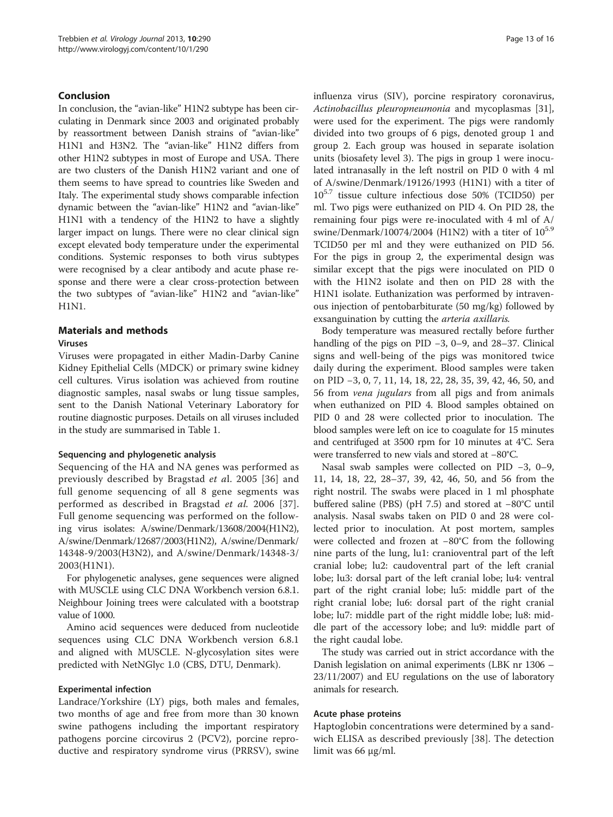## Conclusion

In conclusion, the "avian-like" H1N2 subtype has been circulating in Denmark since 2003 and originated probably by reassortment between Danish strains of "avian-like" H1N1 and H3N2. The "avian-like" H1N2 differs from other H1N2 subtypes in most of Europe and USA. There are two clusters of the Danish H1N2 variant and one of them seems to have spread to countries like Sweden and Italy. The experimental study shows comparable infection dynamic between the "avian-like" H1N2 and "avian-like" H1N1 with a tendency of the H1N2 to have a slightly larger impact on lungs. There were no clear clinical sign except elevated body temperature under the experimental conditions. Systemic responses to both virus subtypes were recognised by a clear antibody and acute phase response and there were a clear cross-protection between the two subtypes of "avian-like" H1N2 and "avian-like" H1N1.

## Materials and methods

#### Viruses

Viruses were propagated in either Madin-Darby Canine Kidney Epithelial Cells (MDCK) or primary swine kidney cell cultures. Virus isolation was achieved from routine diagnostic samples, nasal swabs or lung tissue samples, sent to the Danish National Veterinary Laboratory for routine diagnostic purposes. Details on all viruses included in the study are summarised in Table [1.](#page-2-0)

#### Sequencing and phylogenetic analysis

Sequencing of the HA and NA genes was performed as previously described by Bragstad et al. 2005 [[36\]](#page-15-0) and full genome sequencing of all 8 gene segments was performed as described in Bragstad et al. 2006 [[37](#page-15-0)]. Full genome sequencing was performed on the following virus isolates: A/swine/Denmark/13608/2004(H1N2), A/swine/Denmark/12687/2003(H1N2), A/swine/Denmark/ 14348-9/2003(H3N2), and A/swine/Denmark/14348-3/ 2003(H1N1).

For phylogenetic analyses, gene sequences were aligned with MUSCLE using CLC DNA Workbench version 6.8.1. Neighbour Joining trees were calculated with a bootstrap value of 1000.

Amino acid sequences were deduced from nucleotide sequences using CLC DNA Workbench version 6.8.1 and aligned with MUSCLE. N-glycosylation sites were predicted with NetNGlyc 1.0 (CBS, DTU, Denmark).

#### Experimental infection

Landrace/Yorkshire (LY) pigs, both males and females, two months of age and free from more than 30 known swine pathogens including the important respiratory pathogens porcine circovirus 2 (PCV2), porcine reproductive and respiratory syndrome virus (PRRSV), swine influenza virus (SIV), porcine respiratory coronavirus, Actinobacillus pleuropneumonia and mycoplasmas [\[31](#page-15-0)], were used for the experiment. The pigs were randomly divided into two groups of 6 pigs, denoted group 1 and group 2. Each group was housed in separate isolation units (biosafety level 3). The pigs in group 1 were inoculated intranasally in the left nostril on PID 0 with 4 ml of A/swine/Denmark/19126/1993 (H1N1) with a titer of 105.7 tissue culture infectious dose 50% (TCID50) per ml. Two pigs were euthanized on PID 4. On PID 28, the remaining four pigs were re-inoculated with 4 ml of A/ swine/Denmark/10074/2004 (H1N2) with a titer of  $10^{5.9}$ TCID50 per ml and they were euthanized on PID 56. For the pigs in group 2, the experimental design was similar except that the pigs were inoculated on PID 0 with the H1N2 isolate and then on PID 28 with the H1N1 isolate. Euthanization was performed by intravenous injection of pentobarbiturate (50 mg/kg) followed by exsanguination by cutting the arteria axillaris.

Body temperature was measured rectally before further handling of the pigs on PID −3, 0–9, and 28–37. Clinical signs and well-being of the pigs was monitored twice daily during the experiment. Blood samples were taken on PID −3, 0, 7, 11, 14, 18, 22, 28, 35, 39, 42, 46, 50, and 56 from vena jugulars from all pigs and from animals when euthanized on PID 4. Blood samples obtained on PID 0 and 28 were collected prior to inoculation. The blood samples were left on ice to coagulate for 15 minutes and centrifuged at 3500 rpm for 10 minutes at 4°C. Sera were transferred to new vials and stored at −80°C.

Nasal swab samples were collected on PID −3, 0–9, 11, 14, 18, 22, 28–37, 39, 42, 46, 50, and 56 from the right nostril. The swabs were placed in 1 ml phosphate buffered saline (PBS) (pH 7.5) and stored at −80°C until analysis. Nasal swabs taken on PID 0 and 28 were collected prior to inoculation. At post mortem, samples were collected and frozen at −80°C from the following nine parts of the lung, lu1: cranioventral part of the left cranial lobe; lu2: caudoventral part of the left cranial lobe; lu3: dorsal part of the left cranial lobe; lu4: ventral part of the right cranial lobe; lu5: middle part of the right cranial lobe; lu6: dorsal part of the right cranial lobe; lu7: middle part of the right middle lobe; lu8: middle part of the accessory lobe; and lu9: middle part of the right caudal lobe.

The study was carried out in strict accordance with the Danish legislation on animal experiments (LBK nr 1306 – 23/11/2007) and EU regulations on the use of laboratory animals for research.

#### Acute phase proteins

Haptoglobin concentrations were determined by a sandwich ELISA as described previously [\[38](#page-15-0)]. The detection limit was 66 μg/ml.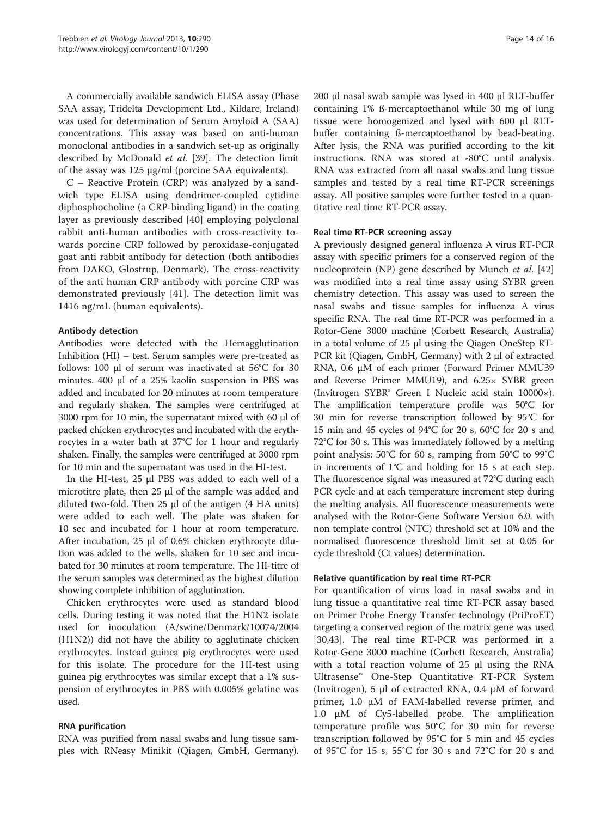A commercially available sandwich ELISA assay (Phase SAA assay, Tridelta Development Ltd., Kildare, Ireland) was used for determination of Serum Amyloid A (SAA) concentrations. This assay was based on anti-human monoclonal antibodies in a sandwich set-up as originally described by McDonald et al. [[39\]](#page-15-0). The detection limit of the assay was 125 μg/ml (porcine SAA equivalents).

C – Reactive Protein (CRP) was analyzed by a sandwich type ELISA using dendrimer-coupled cytidine diphosphocholine (a CRP-binding ligand) in the coating layer as previously described [\[40](#page-15-0)] employing polyclonal rabbit anti-human antibodies with cross-reactivity towards porcine CRP followed by peroxidase-conjugated goat anti rabbit antibody for detection (both antibodies from DAKO, Glostrup, Denmark). The cross-reactivity of the anti human CRP antibody with porcine CRP was demonstrated previously [\[41](#page-15-0)]. The detection limit was 1416 ng/mL (human equivalents).

## Antibody detection

Antibodies were detected with the Hemagglutination Inhibition (HI) – test. Serum samples were pre-treated as follows: 100 μl of serum was inactivated at 56°C for 30 minutes. 400 μl of a 25% kaolin suspension in PBS was added and incubated for 20 minutes at room temperature and regularly shaken. The samples were centrifuged at 3000 rpm for 10 min, the supernatant mixed with 60 μl of packed chicken erythrocytes and incubated with the erythrocytes in a water bath at 37°C for 1 hour and regularly shaken. Finally, the samples were centrifuged at 3000 rpm for 10 min and the supernatant was used in the HI-test.

In the HI-test, 25 μl PBS was added to each well of a microtitre plate, then 25 μl of the sample was added and diluted two-fold. Then 25 μl of the antigen (4 HA units) were added to each well. The plate was shaken for 10 sec and incubated for 1 hour at room temperature. After incubation, 25 μl of 0.6% chicken erythrocyte dilution was added to the wells, shaken for 10 sec and incubated for 30 minutes at room temperature. The HI-titre of the serum samples was determined as the highest dilution showing complete inhibition of agglutination.

Chicken erythrocytes were used as standard blood cells. During testing it was noted that the H1N2 isolate used for inoculation (A/swine/Denmark/10074/2004 (H1N2)) did not have the ability to agglutinate chicken erythrocytes. Instead guinea pig erythrocytes were used for this isolate. The procedure for the HI-test using guinea pig erythrocytes was similar except that a 1% suspension of erythrocytes in PBS with 0.005% gelatine was used.

## RNA purification

RNA was purified from nasal swabs and lung tissue samples with RNeasy Minikit (Qiagen, GmbH, Germany). 200 μl nasal swab sample was lysed in 400 μl RLT-buffer containing 1% ß-mercaptoethanol while 30 mg of lung tissue were homogenized and lysed with 600 μl RLTbuffer containing ß-mercaptoethanol by bead-beating. After lysis, the RNA was purified according to the kit instructions. RNA was stored at -80°C until analysis. RNA was extracted from all nasal swabs and lung tissue samples and tested by a real time RT-PCR screenings assay. All positive samples were further tested in a quantitative real time RT-PCR assay.

## Real time RT-PCR screening assay

A previously designed general influenza A virus RT-PCR assay with specific primers for a conserved region of the nucleoprotein (NP) gene described by Munch et al. [[42](#page-15-0)] was modified into a real time assay using SYBR green chemistry detection. This assay was used to screen the nasal swabs and tissue samples for influenza A virus specific RNA. The real time RT-PCR was performed in a Rotor-Gene 3000 machine (Corbett Research, Australia) in a total volume of 25 μl using the Qiagen OneStep RT-PCR kit (Qiagen, GmbH, Germany) with 2 μl of extracted RNA, 0.6 μM of each primer (Forward Primer MMU39 and Reverse Primer MMU19), and 6.25× SYBR green (Invitrogen SYBR® Green I Nucleic acid stain 10000×). The amplification temperature profile was 50°C for 30 min for reverse transcription followed by 95°C for 15 min and 45 cycles of 94°C for 20 s, 60°C for 20 s and 72°C for 30 s. This was immediately followed by a melting point analysis: 50°C for 60 s, ramping from 50°C to 99°C in increments of 1°C and holding for 15 s at each step. The fluorescence signal was measured at 72°C during each PCR cycle and at each temperature increment step during the melting analysis. All fluorescence measurements were analysed with the Rotor-Gene Software Version 6.0. with non template control (NTC) threshold set at 10% and the normalised fluorescence threshold limit set at 0.05 for cycle threshold (Ct values) determination.

#### Relative quantification by real time RT-PCR

For quantification of virus load in nasal swabs and in lung tissue a quantitative real time RT-PCR assay based on Primer Probe Energy Transfer technology (PriProET) targeting a conserved region of the matrix gene was used [[30,43\]](#page-15-0). The real time RT-PCR was performed in a Rotor-Gene 3000 machine (Corbett Research, Australia) with a total reaction volume of 25 μl using the RNA Ultrasense™ One-Step Quantitative RT-PCR System (Invitrogen), 5 μl of extracted RNA, 0.4 μM of forward primer, 1.0 μM of FAM-labelled reverse primer, and 1.0 μM of Cy5-labelled probe. The amplification temperature profile was 50°C for 30 min for reverse transcription followed by 95°C for 5 min and 45 cycles of 95°C for 15 s, 55°C for 30 s and 72°C for 20 s and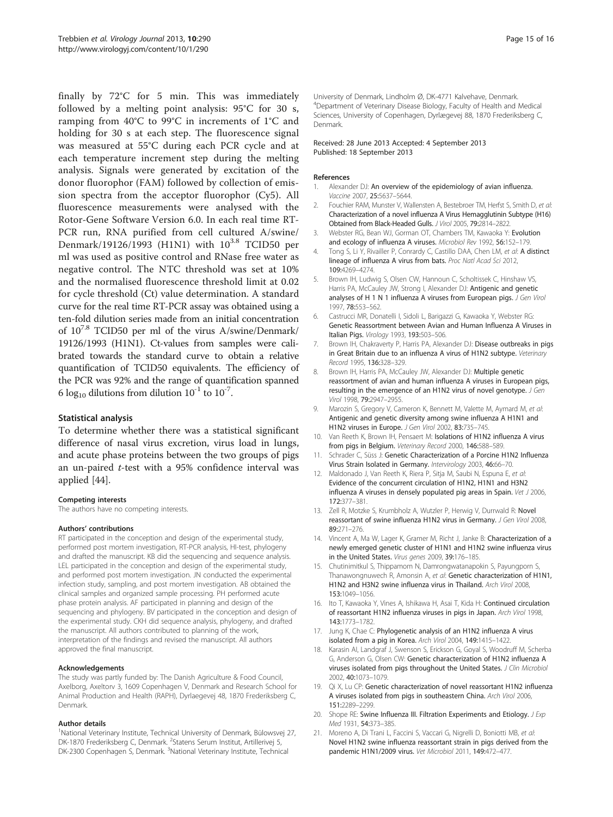<span id="page-14-0"></span>finally by 72°C for 5 min. This was immediately followed by a melting point analysis: 95°C for 30 s, ramping from 40°C to 99°C in increments of 1°C and holding for 30 s at each step. The fluorescence signal was measured at 55°C during each PCR cycle and at each temperature increment step during the melting analysis. Signals were generated by excitation of the donor fluorophor (FAM) followed by collection of emission spectra from the acceptor fluorophor (Cy5). All fluorescence measurements were analysed with the Rotor-Gene Software Version 6.0. In each real time RT-PCR run, RNA purified from cell cultured A/swine/ Denmark/19126/1993 (H1N1) with  $10^{3.8}$  TCID50 per ml was used as positive control and RNase free water as negative control. The NTC threshold was set at 10% and the normalised fluorescence threshold limit at 0.02 for cycle threshold (Ct) value determination. A standard curve for the real time RT-PCR assay was obtained using a ten-fold dilution series made from an initial concentration of 107.8 TCID50 per ml of the virus A/swine/Denmark/ 19126/1993 (H1N1). Ct-values from samples were calibrated towards the standard curve to obtain a relative quantification of TCID50 equivalents. The efficiency of the PCR was 92% and the range of quantification spanned 6 log<sub>10</sub> dilutions from dilution  $10^{-1}$  to  $10^{-7}$ .

#### Statistical analysis

To determine whether there was a statistical significant difference of nasal virus excretion, virus load in lungs, and acute phase proteins between the two groups of pigs an un-paired t-test with a 95% confidence interval was applied [\[44](#page-15-0)].

#### Competing interests

The authors have no competing interests.

#### Authors' contributions

RT participated in the conception and design of the experimental study, performed post mortem investigation, RT-PCR analysis, HI-test, phylogeny and drafted the manuscript. KB did the sequencing and sequence analysis. LEL participated in the conception and design of the experimental study, and performed post mortem investigation. JN conducted the experimental infection study, sampling, and post mortem investigation. AB obtained the clinical samples and organized sample processing. PH performed acute phase protein analysis. AF participated in planning and design of the sequencing and phylogeny. BV participated in the conception and design of the experimental study. CKH did sequence analysis, phylogeny, and drafted the manuscript. All authors contributed to planning of the work, interpretation of the findings and revised the manuscript. All authors approved the final manuscript.

#### Acknowledgements

The study was partly funded by: The Danish Agriculture & Food Council, Axelborg, Axeltorv 3, 1609 Copenhagen V, Denmark and Research School for Animal Production and Health (RAPH), Dyrlaegevej 48, 1870 Frederiksberg C, Denmark.

#### Author details

<sup>1</sup>National Veterinary Institute, Technical University of Denmark, Bülowsvej 27, DK-1870 Frederiksberg C, Denmark. <sup>2</sup>Statens Serum Institut, Artillerivej 5, DK-2300 Copenhagen S, Denmark. <sup>3</sup>National Veterinary Institute, Technical

University of Denmark, Lindholm Ø, DK-4771 Kalvehave, Denmark. 4 Department of Veterinary Disease Biology, Faculty of Health and Medical Sciences, University of Copenhagen, Dyrlægevej 88, 1870 Frederiksberg C, Denmark.

#### Received: 28 June 2013 Accepted: 4 September 2013 Published: 18 September 2013

#### References

- 1. Alexander DJ: An overview of the epidemiology of avian influenza. Vaccine 2007, 25:5637–5644.
- 2. Fouchier RAM, Munster V, Wallensten A, Bestebroer TM, Herfst S, Smith D, et al: Characterization of a novel influenza A Virus Hemagglutinin Subtype (H16) Obtained from Black-Headed Gulls. J Virol 2005, 79:2814–2822.
- 3. Webster RG, Bean WJ, Gorman OT, Chambers TM, Kawaoka Y: Evolution and ecology of influenza A viruses. Microbiol Rev 1992, 56:152–179.
- 4. Tong S, Li Y, Rivailler P, Conrardy C, Castillo DAA, Chen LM, et al: A distinct lineage of influenza A virus from bats. Proc Natl Acad Sci 2012, 109:4269–4274.
- 5. Brown IH, Ludwig S, Olsen CW, Hannoun C, Scholtissek C, Hinshaw VS, Harris PA, McCauley JW, Strong I, Alexander DJ: Antigenic and genetic analyses of H 1 N 1 influenza A viruses from European pigs. J Gen Virol 1997, 78:553–562.
- 6. Castrucci MR, Donatelli I, Sidoli L, Barigazzi G, Kawaoka Y, Webster RG: Genetic Reassortment between Avian and Human Influenza A Viruses in Italian Pigs. Virology 1993, 193:503–506.
- 7. Brown IH, Chakraverty P, Harris PA, Alexander DJ: Disease outbreaks in pigs in Great Britain due to an influenza A virus of H1N2 subtype. Veterinary Record 1995, 136:328–329.
- 8. Brown IH, Harris PA, McCauley JW, Alexander DJ: Multiple genetic reassortment of avian and human influenza A viruses in European pigs, resulting in the emergence of an H1N2 virus of novel genotype. J Gen Virol 1998, 79:2947–2955.
- 9. Marozin S, Gregory V, Cameron K, Bennett M, Valette M, Aymard M, et al: Antigenic and genetic diversity among swine influenza A H1N1 and H1N2 viruses in Europe. J Gen Virol 2002, 83:735-745.
- 10. Van Reeth K, Brown IH, Pensaert M: Isolations of H1N2 influenza A virus from pigs in Belgium. Veterinary Record 2000, 146:588-589.
- 11. Schrader C, Süss J: Genetic Characterization of a Porcine H1N2 Influenza Virus Strain Isolated in Germany. Intervirology 2003, 46:66–70.
- 12. Maldonado J, Van Reeth K, Riera P, Sitja M, Saubi N, Espuna E, et al: Evidence of the concurrent circulation of H1N2, H1N1 and H3N2 influenza A viruses in densely populated pig areas in Spain. Vet J 2006, 172:377–381.
- 13. Zell R, Motzke S, Krumbholz A, Wutzler P, Herwig V, Durrwald R: Novel reassortant of swine influenza H1N2 virus in Germany. J Gen Virol 2008, 89:271–276.
- 14. Vincent A, Ma W, Lager K, Gramer M, Richt J, Janke B: Characterization of a newly emerged genetic cluster of H1N1 and H1N2 swine influenza virus in the United States. Virus genes 2009, 39:176–185.
- 15. Chutinimitkul S, Thippamom N, Damrongwatanapokin S, Payungporn S, Thanawongnuwech R, Amonsin A, et al: Genetic characterization of H1N1, H1N2 and H3N2 swine influenza virus in Thailand. Arch Virol 2008, 153:1049–1056.
- 16. Ito T, Kawaoka Y, Vines A, Ishikawa H, Asai T, Kida H: Continued circulation of reassortant H1N2 influenza viruses in pigs in Japan. Arch Virol 1998, 143:1773–1782.
- 17. Jung K, Chae C: Phylogenetic analysis of an H1N2 influenza A virus isolated from a pig in Korea. Arch Virol 2004, 149:1415–1422.
- 18. Karasin AI, Landgraf J, Swenson S, Erickson G, Goyal S, Woodruff M, Scherba G, Anderson G, Olsen CW: Genetic characterization of H1N2 influenza A viruses isolated from pigs throughout the United States. J Clin Microbiol 2002, 40:1073–1079.
- 19. Qi X, Lu CP: Genetic characterization of novel reassortant H1N2 influenza A viruses isolated from pigs in southeastern China. Arch Virol 2006, 151:2289–2299.
- 20. Shope RE: Swine Influenza III. Filtration Experiments and Etiology. J Exp Med 1931, 54:373–385.
- 21. Moreno A, Di Trani L, Faccini S, Vaccari G, Nigrelli D, Boniotti MB, et al: Novel H1N2 swine influenza reassortant strain in pigs derived from the pandemic H1N1/2009 virus. Vet Microbiol 2011, 149:472–477.